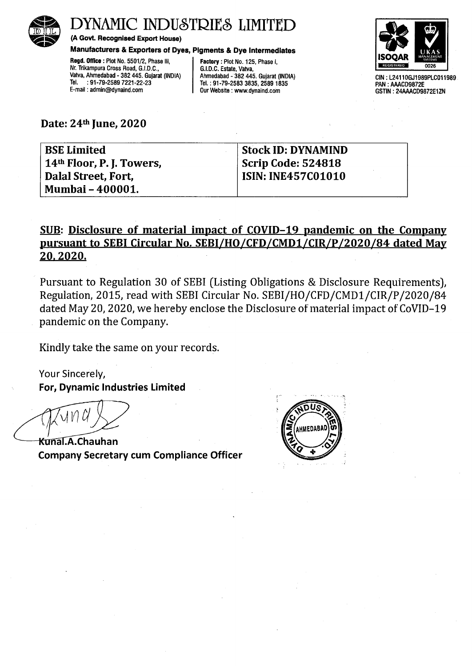

# DYNAMIC INDUSTRIES LIMITED

(A Govt. Recognised Export House)

### Manufacturers & Exporters of Dyes, Pigments & Dye Intermediates

Regd. Office : Plot No. 5501/2, Phase Ill, Nr. Trikampura Cross Road, G.I.D.C., Vatva, Ahmedabad - 382 445. Gujarat (INDIA) Tel. : 91-79-2589 7221-22-23 E-mail : admin@dynaind.com

Factory : Plot No. 125, Phase I, G.I.D.C. Estate, Vatva, Ahmedabad - 382 445. Gujarat (INDIA) Tel. : 91-79-2583 3835, 2589 1835 Our Website : www.dynaihd.com



GIN: L24110GJ1989PLC011989 PAN : AAACD9872E GSTIN: 24AAACD9872E1ZN

Date: 24<sup>th</sup> June, 2020

| <b>BSE Limited</b>        | <b>Stock ID: DYNAMIND</b> |
|---------------------------|---------------------------|
| 14th Floor, P. J. Towers, | Scrip Code: 524818        |
| Dalal Street, Fort,       | <b>ISIN: INE457C01010</b> |
| <b>Mumbai - 400001.</b>   |                           |

## SUB: Disclosure of material impact of COVID-19 pandemic on the Company pursuant to SEBI Circular No. SEBI/HO/CFD/CMD1/CIR/P/2020/84 dated May 20.2020.

Pursuant to Regulation 30 of SEBI (Listing Obligations & Disclosure Requirements), Regulation, 2015, read with SEBI Circular No. SEBI/HO/CFD/CMD1/CIR/P /2020/84 dated May 20, 2020, we hereby enclose the Disclosure of material impact of CoVID-19 pandemic on the Company.

Kindly take the same on your records.

Your Sincerely, For, Dynamic Industries Limited

**Kunal.A.Chauhan** Company Secretary cum Compliance Officer

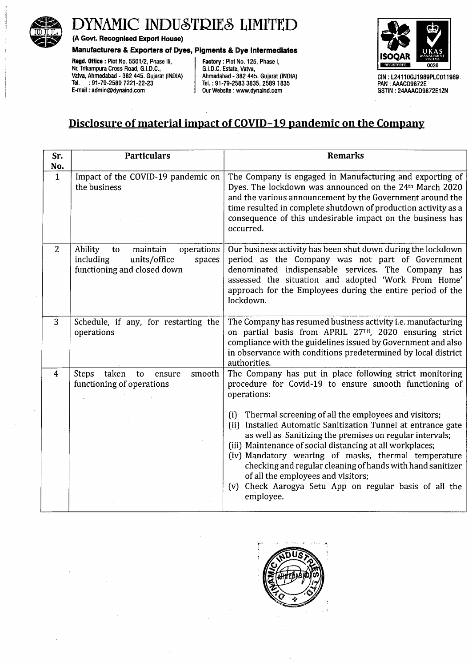

# **DYNAMIC INDUSTRIES LIMITED**

**(A Govt. Recognised Export House)** 

#### **Manufacturers & Exporters of Dyes, Pigments & Dye Intermediates**

**Regd. Office** : Plot No. 5501/2, Phase Ill, Nr. Trikampura Cross Road, G.I.D.C., Vatva, Ahmedabad - 382 445. Gujarat (INDIA) Tel. : 91-79-2589 7221-22-23 E-mail : admin@dynaind.com

**Factory** : Plot No. 125, Phase I, G.I.D.C. Estate, Vatva, Ahmedabad - 382 445. Gujarat (INDIA) Tel. : 91-79-2583 3835, 2589 1835 Our Website : www.dynaind.com



GIN: L24110GJ1989PLC011989. PAN : AAACD9872E GSTIN: 24AAACD9872E1ZN

## **Disclosure of material impact of COVID-19 pandemic on the Company**

| Sr.          | <b>Particulars</b>                                                                                            | <b>Remarks</b>                                                                                                                                                                                                                                                                                                                                                                                                                                                                                 |
|--------------|---------------------------------------------------------------------------------------------------------------|------------------------------------------------------------------------------------------------------------------------------------------------------------------------------------------------------------------------------------------------------------------------------------------------------------------------------------------------------------------------------------------------------------------------------------------------------------------------------------------------|
| No.          |                                                                                                               |                                                                                                                                                                                                                                                                                                                                                                                                                                                                                                |
| $\mathbf{1}$ | Impact of the COVID-19 pandemic on<br>the business                                                            | The Company is engaged in Manufacturing and exporting of<br>Dyes. The lockdown was announced on the 24th March 2020<br>and the various announcement by the Government around the<br>time resulted in complete shutdown of production activity as a<br>consequence of this undesirable impact on the business has<br>occurred.                                                                                                                                                                  |
| 2            | Ability<br>maintain<br>operations<br>to<br>including<br>units/office<br>spaces<br>functioning and closed down | Our business activity has been shut down during the lockdown<br>period as the Company was not part of Government<br>denominated indispensable services. The Company has<br>assessed the situation and adopted 'Work From Home'<br>approach for the Employees during the entire period of the<br>lockdown.                                                                                                                                                                                      |
| 3            | Schedule, if any, for restarting the<br>operations                                                            | The Company has resumed business activity i.e. manufacturing<br>on partial basis from APRIL 27TH, 2020 ensuring strict<br>compliance with the guidelines issued by Government and also<br>in observance with conditions predetermined by local district<br>authorities.                                                                                                                                                                                                                        |
| 4            | taken<br><b>Steps</b><br>smooth<br>to<br>ensure<br>functioning of operations                                  | The Company has put in place following strict monitoring<br>procedure for Covid-19 to ensure smooth functioning of<br>operations:                                                                                                                                                                                                                                                                                                                                                              |
|              |                                                                                                               | Thermal screening of all the employees and visitors;<br>(i)<br>Installed Automatic Sanitization Tunnel at entrance gate<br>(ii)<br>as well as Sanitizing the premises on regular intervals;<br>(iii) Maintenance of social distancing at all workplaces;<br>(iv) Mandatory wearing of masks, thermal temperature<br>checking and regular cleaning of hands with hand sanitizer<br>of all the employees and visitors;<br>Check Aarogya Setu App on regular basis of all the<br>(v)<br>employee. |

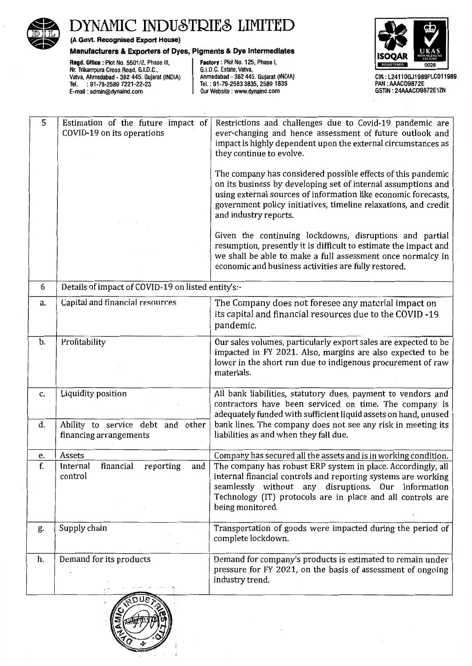

# DYNAMIC INDUSTRIES LIMITED<br>
(A Govt. Recognised Export House)<br>
Manufacturers & Exporters of Dyes, Pigments & Dye Intermediates<br>
ISOOAR

### **Manufacturers & Exporters of Dyes, Pigments & Dye Intermediates**

**Regd. Office** : Plot No. 5501/2, Phase Ill, Nr. Trikampura Cross Road, G.I.D.C., Vatva, Ahmedabad - 382 445. Gujarat (INDIA) Tel. : 91-79-2589 7221-22·23 E-mail : admin@dynaind.com

**Factory** : Plot No. 125, Phase I, G.I.D.C. Estate, Vatva, Ahmedabad - 382 445. Gujarat (INDIA) Tel.: 91-79-2583 3835, 2589 1835 Our Website : www.dynaind.com



CIN: L24110GJ1989PLC011989 PAN : AAACD9872E GSTIN: 24AAACD9872E1ZN

| 5  | Estimation of the future impact of<br>COVID-19 on its operations | Restrictions and challenges due to Covid-19 pandemic are<br>ever-changing and hence assessment of future outlook and<br>impact is highly dependent upon the external circumstances as<br>they continue to evolve.                                                                           |
|----|------------------------------------------------------------------|---------------------------------------------------------------------------------------------------------------------------------------------------------------------------------------------------------------------------------------------------------------------------------------------|
|    |                                                                  | The company has considered possible effects of this pandemic<br>on its business by developing set of internal assumptions and<br>using external sources of information like economic forecasts,<br>government policy initiatives, timeline relaxations, and credit<br>and industry reports. |
|    |                                                                  | Given the continuing lockdowns, disruptions and partial<br>resumption, presently it is difficult to estimate the impact and<br>we shall be able to make a full assessment once normalcy in<br>economic and business activities are fully restored.                                          |
| 6  | Details of impact of COVID-19 on listed entity's:-               |                                                                                                                                                                                                                                                                                             |
| a. | Capital and financial resources                                  | The Company does not foresee any material impact on<br>its capital and financial resources due to the COVID -19<br>pandemic.                                                                                                                                                                |
| b. | Profitability                                                    | Our sales volumes, particularly export sales are expected to be<br>impacted in FY 2021. Also, margins are also expected to be<br>lower in the short run due to indigenous procurement of raw<br>materials.                                                                                  |
| c. | Liquidity position                                               | All bank liabilities, statutory dues, payment to vendors and<br>contractors have been serviced on time. The company is<br>adequately funded with sufficient liquid assets on hand, unused                                                                                                   |
| d. | Ability to service debt and other<br>financing arrangements      | bank lines. The company does not see any risk in meeting its<br>liabilities as and when they fall due.                                                                                                                                                                                      |
| е. | Assets                                                           | Company has secured all the assets and is in working condition.                                                                                                                                                                                                                             |
| f. | financial<br>reporting<br>and<br>Internal<br>control             | The company has robust ERP system in place. Accordingly, all<br>internal financial controls and reporting systems are working<br>seamlessly without any disruptions. Our Information<br>Technology (IT) protocols are in place and all controls are<br>being monitored.                     |
| g. | Supply chain                                                     | Transportation of goods were impacted during the period of<br>complete lockdown.                                                                                                                                                                                                            |
| h. | Demand for its products                                          | Demand for company's products is estimated to remain under<br>pressure for FY 2021, on the basis of assessment of ongoing<br>industry trend.                                                                                                                                                |
|    |                                                                  |                                                                                                                                                                                                                                                                                             |